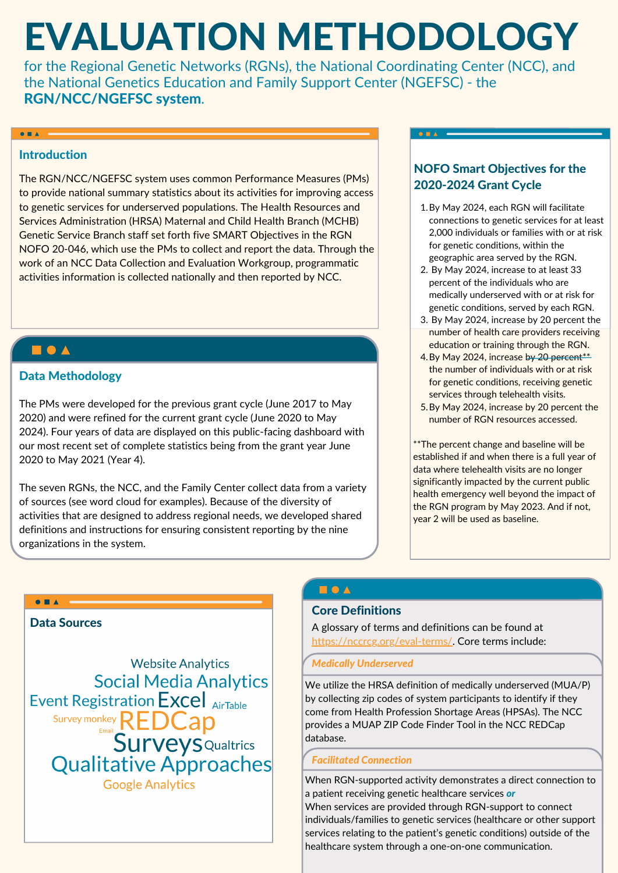# EVALUATION METHODOLOGY

for the Regional Genetic Networks (RGNs), the National Coordinating Center (NCC), and the National Genetics Education and Family Support Center (NGEFSC) - the RGN/NCC/NGEFSC system.

### Introduction

 $\bullet$   $\bullet$   $\bullet$   $\bullet$ 

The RGN/NCC/NGEFSC system uses common Performance Measures (PMs) to provide national summary statistics about its activities for improving access to genetic services for underserved populations. The Health Resources and Services Administration (HRSA) Maternal and Child Health Branch (MCHB) Genetic Service Branch staff set forth five SMART Objectives in the RGN NOFO 20-046, which use the PMs to collect and report the data. Through the work of an NCC Data Collection and Evaluation Workgroup, programmatic activities information is collected nationally and then reported by NCC.

# $\begin{array}{c} \blacksquare \bullet \blacktriangle \end{array}$

### Data Methodology

The PMs were developed for the previous grant cycle (June 2017 to May 2020) and were refined for the current grant cycle (June 2020 to May 2024). Four years of data are displayed on this public-facing dashboard with our most recent set of complete statistics being from the grant year June 2020 to May 2021 (Year 4).

The seven RGNs, the NCC, and the Family Center collect data from a variety of sources (see word cloud for examples). Because of the diversity of activities that are designed to address regional needs, we developed shared definitions and instructions for ensuring consistent reporting by the nine organizations in the system.

## NOFO Smart Objectives for the 2020-2024 Grant Cycle

 $0 = A$ 

- 1.By May 2024, each RGN will facilitate connections to genetic services for at least 2,000 individuals or families with or at risk for genetic conditions, within the geographic area served by the RGN.
- 2. By May 2024, increase to at least 33 percent of the individuals who are medically underserved with or at risk for genetic conditions, served by each RGN.
- 3. By May 2024, increase by 20 percent the number of health care providers receiving education or training through the RGN.
- 4. By May 2024, increase b<del>y 20 percent\*\*</del> the number of individuals with or at risk for genetic conditions, receiving genetic services through telehealth visits.
- 5. By May 2024, increase by 20 percent the number of RGN resources accessed.

\*\*The percent change and baseline will be established if and when there is a full year of data where telehealth visits are no longer significantly impacted by the current public health emergency well beyond the impact of the RGN program by May 2023. And if not, year 2 will be used as baseline.



# $\blacksquare$   $\bullet$   $\blacktriangle$

#### Core Definitions

A glossary of terms and definitions can be found at <https://nccrcg.org/eval-terms/>. Core terms include:

#### *Medically Underserved*

We utilize the HRSA definition of medically underserved (MUA/P) by collecting zip codes of system participants to identify if they come from Health Profession Shortage Areas (HPSAs). The NCC provides a MUAP ZIP Code Finder Tool in the NCC REDCap database.

#### *Facilitated Connection*

When RGN-supported activity demonstrates a direct connection to a patient receiving genetic healthcare services *or* When services are provided through RGN-support to connect individuals/families to genetic services (healthcare or other support services relating to the patient's genetic conditions) outside of the healthcare system through a one-on-one communication.